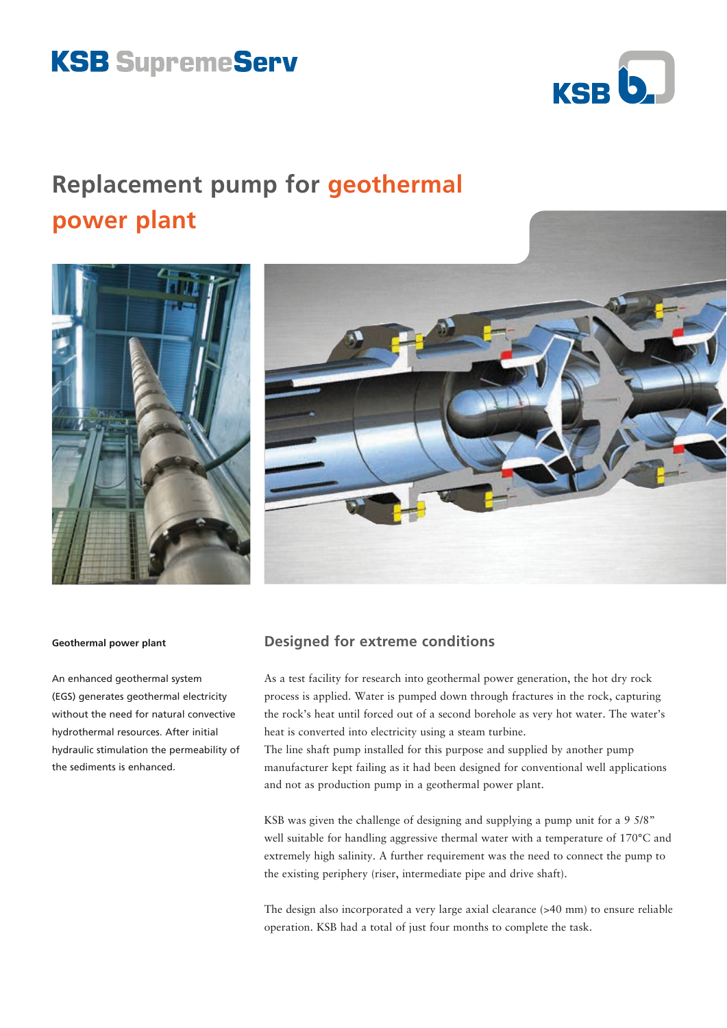# **KSB SupremeServ**



## **Replacement pump for geothermal power plant**



#### **Geothermal power plant**

An enhanced geothermal system (EGS) generates geothermal electricity without the need for natural convective hydrothermal resources. After initial hydraulic stimulation the permeability of the sediments is enhanced.

## **Designed for extreme conditions**

As a test facility for research into geothermal power generation, the hot dry rock process is applied. Water is pumped down through fractures in the rock, capturing the rock's heat until forced out of a second borehole as very hot water. The water's heat is converted into electricity using a steam turbine.

The line shaft pump installed for this purpose and supplied by another pump manufacturer kept failing as it had been designed for conventional well applications and not as production pump in a geothermal power plant.

KSB was given the challenge of designing and supplying a pump unit for a 9 5/8" well suitable for handling aggressive thermal water with a temperature of 170°C and extremely high salinity. A further requirement was the need to connect the pump to the existing periphery (riser, intermediate pipe and drive shaft).

The design also incorporated a very large axial clearance (>40 mm) to ensure reliable operation. KSB had a total of just four months to complete the task.